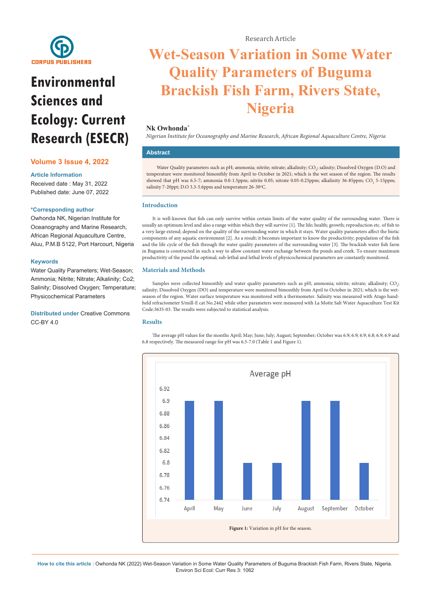

# **Environmental Sciences and Ecology: Current Research (ESECR)**

# **Volume 3 Issue 4, 2022**

# **Article Information**

Received date : May 31, 2022 Published date: June 07, 2022

# **\*Corresponding author**

Owhonda NK, Nigerian Institute for Oceanography and Marine Research, African Regional Aquaculture Centre, Aluu, P.M.B 5122, Port Harcourt, Nigeria

## **Keywords**

Water Quality Parameters; Wet-Season; Ammonia; Nitrite; Nitrate; Alkalinity; Co2; Salinity; Dissolved Oxygen; Temperature; Physicochemical Parameters

**Distributed under** [Creative Commons](https://creativecommons.org/licenses/by/4.0/)  [CC-BY 4.0](https://creativecommons.org/licenses/by/4.0/)

# Research Article

# **Wet-Season Variation in Some Water Quality Parameters of Buguma Brackish Fish Farm, Rivers State, Nigeria**

# **Nk Owhonda\***

*Nigerian Institute for Oceanography and Marine Research, African Regional Aquaculture Centre, Nigeria*

# **Abstract**

Water Quality parameters such as pH; ammonia; nitrite; nitrate; alkalinity;  $\rm{CO}_{2}$ ; salinity; Dissolved Oxygen (D.O) and temperature were monitored bimonthly from April to October in 2021; which is the wet season of the region. The results showed that pH was 6.5-7; ammonia 0.0-1.5ppm; nitrite 0.05; nitrate 0.05-0.25ppm; alkalinity 36-85ppm;  $\text{CO}_2$  5-15ppm; salinity 7-20ppt; D.O 3.3-5.6ppm and temperature 26-30°C.

# **Introduction**

It is well-known that fish can only survive within certain limits of the water quality of the surrounding water. There is usually an optimum level and also a range within which they will survive [1]. The life; health; growth; reproduction etc. of fish to a very large extend; depend on the quality of the surrounding water in which it stays. Water quality parameters affect the biotic components of any aquatic environment [2]. As a result; it becomes important to know the productivity; population of the fish and the life cycle of the fish through the water quality parameters of the surrounding water [3]. The brackish water fish farm in Buguma is constructed in such a way to allow constant water exchange between the ponds and creek. To ensure maximum productivity of the pond the optimal; sub-lethal and lethal levels of physicochemical parameters are constantly monitored.

# **Materials and Methods**

Samples were collected bimonthly and water quality parameters such as pH; ammonia; nitrite; nitrate; alkalinity;  $\rm CO_{\it j}$ ; salinity; Dissolved Oxygen (DO) and temperature were monitored bimonthly from April to October in 2021; which is the wetseason of the region. Water surface temperature was monitored with a thermometer. Salinity was measured with Atago handheld refractometer S/mill-E cat No.2442 while other parameters were measured with La Motte Salt Water Aquaculture Test Kit Code:3635-03. The results were subjected to statistical analysis.

## **Results**



The average pH values for the months April; May; June; July; August; September; October was 6.9; 6.9; 6.9; 6.8; 6.9; 6.9 and 6.8 respectively. The measured range for pH was 6.5-7.0 (Table 1 and Figure 1).

**How to cite this article** : Owhonda NK (2022) Wet-Season Variation in Some Water Quality Parameters of Buguma Brackish Fish Farm, Rivers State, Nigeria. Environ Sci Ecol: Curr Res 3: 1062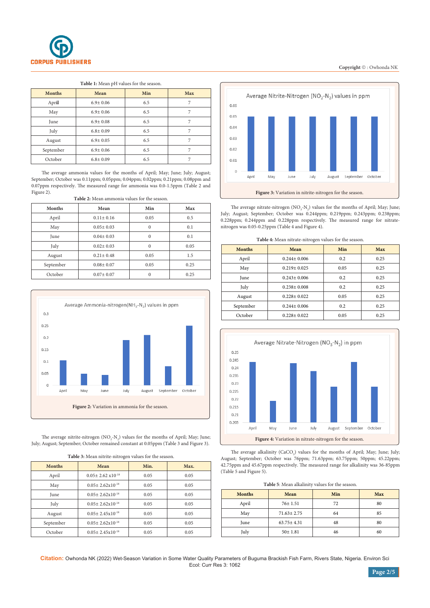

### **Table 1:** Mean pH values for the season.

| <b>Months</b> | Mean           | Min | <b>Max</b> |
|---------------|----------------|-----|------------|
| April         | $6.9 \pm 0.06$ | 6.5 |            |
| May           | $6.9 \pm 0.06$ | 6.5 |            |
| June          | $6.9 \pm 0.08$ | 6.5 |            |
| July          | $6.8 \pm 0.09$ | 6.5 |            |
| August        | $6.9 \pm 0.05$ | 6.5 |            |
| September     | $6.9 \pm 0.06$ | 6.5 |            |
| October       | $6.8 \pm 0.09$ | 6.5 |            |

The average ammonia values for the months of April; May; June; July; August; September; October was 0.11ppm; 0.05ppm; 0.04ppm; 0.02ppm; 0.21ppm; 0.08ppm and 0.07ppm respectively. The measured range for ammonia was 0.0-1.5ppm (Table 2 and Figure 2).

| Table 2: Mean ammonia values for the season. |
|----------------------------------------------|
|----------------------------------------------|

| Months    | Mean            | Min      | Max  |
|-----------|-----------------|----------|------|
| April     | $0.11 \pm 0.16$ | 0.05     | 0.5  |
| May       | $0.05 \pm 0.03$ | $\Omega$ | 0.1  |
| June      | $0.04 \pm 0.03$ | $\theta$ | 0.1  |
| July      | $0.02 \pm 0.03$ | $\theta$ | 0.05 |
| August    | $0.21 \pm 0.48$ | 0.05     | 1.5  |
| September | $0.08 \pm 0.07$ | 0.05     | 0.25 |
| October   | $0.07 \pm 0.07$ | $\Omega$ | 0.25 |



The average nitrite-nitrogen  $(NO_2-N_2)$  values for the months of April; May; June; July; August; September; October remained constant at 0.05ppm (Table 3 and Figure 3).

**Table 3:** Mean nitrite-nitrogen values for the season.

| Tuble 3: mean mirrie mirogen values for the season. |                                     |      |      |  |
|-----------------------------------------------------|-------------------------------------|------|------|--|
| <b>Months</b>                                       | Mean                                | Min. | Max. |  |
| April                                               | $0.05 \pm 2.62 \times 10^{-18}$     | 0.05 | 0.05 |  |
| May                                                 | $0.05 \pm 2.62 \mathrm{x} 10^{-18}$ | 0.05 | 0.05 |  |
| June                                                | $0.05 \pm 2.62 \mathrm{x} 10^{-18}$ | 0.05 | 0.05 |  |
| July                                                | $0.05 \pm 2.62 \times 10^{-18}$     | 0.05 | 0.05 |  |
| August                                              | $0.05 \pm 2.45 \times 10^{-18}$     | 0.05 | 0.05 |  |
| September                                           | $0.05 \pm 2.62 \times 10^{-18}$     | 0.05 | 0.05 |  |
| October                                             | $0.05 \pm 2.45 \times 10^{-18}$     | 0.05 | 0.05 |  |



The average nitrate-nitrogen  $(NO<sub>3</sub>-N<sub>2</sub>)$  values for the months of April; May; June; July; August; September; October was 0.244ppm; 0.219ppm; 0.243ppm; 0.238ppm; 0.228ppm; 0.244ppm and 0.228ppm respectively. The measured range for nitratenitrogen was 0.05-0.25ppm (Table 4 and Figure 4).

|--|

| <b>Months</b> | Mean              | Min  | Max  |
|---------------|-------------------|------|------|
| April         | $0.244 + 0.006$   | 0.2  | 0.25 |
| May           | $0.219 \pm 0.025$ | 0.05 | 0.25 |
| June          | $0.243 + 0.006$   | 0.2  | 0.25 |
| July          | $0.238 + 0.008$   | 0.2  | 0.25 |
| August        | $0.228 + 0.022$   | 0.05 | 0.25 |
| September     | $0.244 + 0.006$   | 0.2  | 0.25 |
| October       | $0.228 \pm 0.022$ | 0.05 | 0.25 |



The average alkalinity  $(CaCO_3)$  values for the months of April; May; June; July; August; September; October was 76ppm; 71.63ppm; 63.75ppm; 50ppm; 45.22ppm; 42.75ppm and 45.67ppm respectively. The measured range for alkalinity was 36-85ppm (Table 5 and Figure 5).

| Table 5: Mean alkalinity values for the season. |  |  |
|-------------------------------------------------|--|--|
|-------------------------------------------------|--|--|

| <b>Months</b> | Mean             | Min | Max |
|---------------|------------------|-----|-----|
| April         | $76 \pm 1.51$    | 72  | 80  |
| May           | $71.63 \pm 2.75$ | 64  | 85  |
| June          | $63.75 \pm 4.31$ | 48  | 80  |
| July          | $50 \pm 1.81$    | 46  | 60  |

**Citation:** Owhonda NK (2022) Wet-Season Variation in Some Water Quality Parameters of Buguma Brackish Fish Farm, Rivers State, Nigeria. Environ Sci Ecol: Curr Res 3: 1062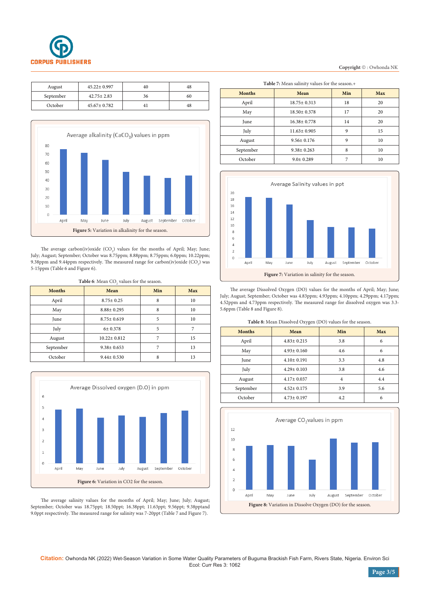

| August    | $45.22 \pm 0.997$ | 40 | 48 |
|-----------|-------------------|----|----|
| September | $42.75 + 2.83$    | 36 | 60 |
| October   | $45.67 \pm 0.782$ |    | 48 |



The average carbon(iv) oxide  $(CO_2)$  values for the months of April; May; June; July; August; September; October was 8.75ppm; 8.88ppm; 8.75ppm; 6.0ppm; 10.22ppm; 9.38ppm and 9.44ppm respectively. The measured range for carbon(iv)oxide (CO<sub>2</sub>) was 5-15ppm (Table 6 and Figure 6).

**Table 6**: Mean  $CO<sub>2</sub>$  values for the season.

| <b>Months</b> | Mean              | Min | Max |
|---------------|-------------------|-----|-----|
| April         | $8.75 \pm 0.25$   | 8   | 10  |
| May           | $8.88 \pm 0.295$  | 8   | 10  |
| June          | $8.75 \pm 0.619$  | 5   | 10  |
| July          | 6±0.378           | 5   |     |
| August        | $10.22 \pm 0.812$ | ⇁   | 15  |
| September     | $9.38 \pm 0.653$  |     | 13  |
| October       | $9.44 \pm 0.530$  | 8   | 13  |



The average salinity values for the months of April; May; June; July; August; September; October was 18.75ppt; 18.50ppt; 16.38ppt; 11.63ppt; 9.56ppt; 9.38pptand 9.0ppt respectively. The measured range for salinity was 7-20ppt (Table 7 and Figure 7).

| Copyright ©: Owhonda NK |  |  |
|-------------------------|--|--|
|                         |  |  |

| Table 7: Mean salinity values for the season.+ |                   |     |     |  |
|------------------------------------------------|-------------------|-----|-----|--|
| <b>Months</b>                                  | Mean              | Min | Max |  |
| April                                          | 18.75±0.313       | 18  | 20  |  |
| May                                            | $18.50 \pm 0.378$ | 17  | 20  |  |
| June                                           | $16.38 \pm 0.778$ | 14  | 20  |  |
| July                                           | $11.63 \pm 0.905$ | 9   | 15  |  |
| August                                         | $9.56 + 0.176$    | 9   | 10  |  |
| September                                      | $9.38 \pm 0.263$  | 8   | 10  |  |
| October                                        | $9.0 \pm 0.289$   | 7   | 10  |  |



The average Dissolved Oxygen (DO) values for the months of April; May; June; July; August; September; October was 4.83ppm; 4.93ppm; 4.10ppm; 4.29ppm; 4.17ppm; 4.52ppm and 4.73ppm respectively. The measured range for dissolved oxygen was 3.3- 5.6ppm (Table 8 and Figure 8).

| Table 8: Mean Dissolved Oxygen (DO) values for the season. |  |  |  |
|------------------------------------------------------------|--|--|--|
|------------------------------------------------------------|--|--|--|

| <b>Months</b> | Mean             | Min | Max |
|---------------|------------------|-----|-----|
| April         | $4.83 \pm 0.215$ | 3.8 | 6   |
| May           | $4.93 \pm 0.160$ | 4.6 | 6   |
| June          | $4.10 \pm 0.191$ | 3.3 | 4.8 |
| July          | $4.29 \pm 0.103$ | 3.8 | 4.6 |
| August        | $4.17 \pm 0.037$ | 4   | 4.4 |
| September     | $4.52 \pm 0.175$ | 3.9 | 5.6 |
| October       | $4.73 \pm 0.197$ | 4.2 | 6   |
|               |                  |     |     |



**Citation:** Owhonda NK (2022) Wet-Season Variation in Some Water Quality Parameters of Buguma Brackish Fish Farm, Rivers State, Nigeria. Environ Sci Ecol: Curr Res 3: 1062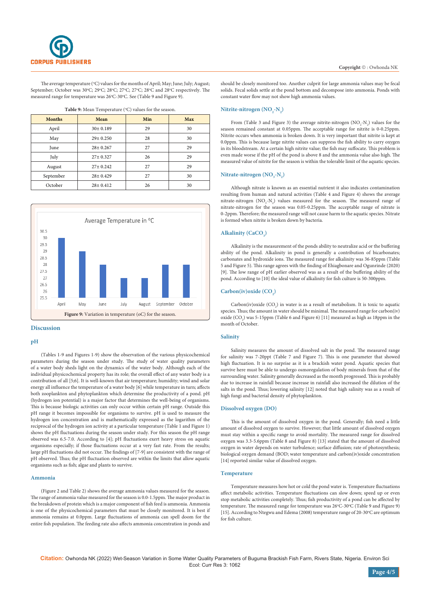

The average temperature (°C) values for the months of April; May; June; July; August; September; October was 30°C; 29°C; 28°C; 27°C; 27°C; 28°C and 28°C respectively. The measured range for temperature was 26°C-30°C. See (Table 9 and Figure 9).

| <b>Months</b> | Mean           | Min | <b>Max</b> |
|---------------|----------------|-----|------------|
| April         | $30 \pm 0.189$ | 29  | 30         |
| May           | $29 \pm 0.250$ | 28  | 30         |
| June          | $28 \pm 0.267$ | 27  | 29         |
| July          | $27 \pm 0.327$ | 26  | 29         |
| August        | $27 \pm 0.242$ | 27  | 29         |
| September     | $28 \pm 0.429$ | 27  | 30         |
| October       | $28 \pm 0.412$ | 26  | 30         |





#### **Discussion**

## **pH**

(Tables 1-9 and Figures 1-9) show the observation of the various physicochemical parameters during the season under study. The study of water quality parameters of a water body sheds light on the dynamics of the water body. Although each of the individual physicochemical property has its role; the overall effect of any water body is a contribution of all [5;6]. It is well-known that air temperature; humidity; wind and solar energy all influence the temperature of a water body [6] while temperature in turn; affects both zooplankton and phytoplankton which determine the productivity of a pond. pH (hydrogen ion potential) is a major factor that determines the well-being of organisms. This is because biologic activities can only occur within certain pH range. Outside this pH range it becomes impossible for organisms to survive. pH is used to measure the hydrogen ion concentration and is mathematically expressed as the logarithm of the reciprocal of the hydrogen ion activity at a particular temperature (Table 1 and Figure 1) shows the pH fluctuations during the season under study. For this season the pH range observed was 6.5-7.0. According to [4]; pH fluctuations exert heavy stress on aquatic organisms especially; if those fluctuations occur at a very fast rate. From the results; large pH fluctuations did not occur. The findings of [7-9] are consistent with the range of pH observed. Thus; the pH fluctuation observed are within the limits that allow aquatic organisms such as fish; algae and plants to survive.

## **Ammonia**

(Figure 2 and Table 2) shows the average ammonia values measured for the season. The range of ammonia value measured for the season is 0.0-1.5ppm. The major product in the breakdown of protein which is a major component of fish feed is ammonia. Ammonia is one of the physicochemical parameters that must be closely monitored. It is best if ammonia remains at 0.0ppm. Large fluctuations of ammonia can spell doom for the entire fish population. The feeding rate also affects ammonia concentration in ponds and should be closely monitored too. Another culprit for large ammonia values may be fecal solids. Fecal solids settle at the pond bottom and decompose into ammonia. Ponds with constant water flow may not show high ammonia values.

## $N$ **itrite-nitrogen** ( $NO<sub>2</sub>$ - $N<sub>2</sub>$ )

From (Table 3 and Figure 3) the average nitrite-nitrogen  $(NO<sub>2</sub>-N<sub>2</sub>)$  values for the season remained constant at 0.05ppm. The acceptable range for nitrite is 0-0.25ppm. Nitrite occurs when ammonia is broken down. It is very important that nitrite is kept at 0.0ppm. This is because large nitrite values can suppress the fish ability to carry oxygen in its bloodstream. At a certain high nitrite value; the fish may suffocate. This problem is even made worse if the pH of the pond is above 8 and the ammonia value also high. The measured value of nitrite for the season is within the tolerable limit of the aquatic species.

# $N$ **itrate-nitrogen**  $(NO_3-N_2)$

Although nitrate is known as an essential nutrient it also indicates contamination resulting from human and natural activities (Table 4 and Figure 4) shows the average nitrate-nitrogen  $(NO_3-N_2)$  values measured for the season. The measured range of nitrate-nitrogen for the season was 0.05-0.25ppm. The acceptable range of nitrate is 0-2ppm. Therefore; the measured range will not cause harm to the aquatic species. Nitrate is formed when nitrite is broken down by bacteria.

# Alkalinity (CaCO<sub>3</sub>)

Alkalinity is the measurement of the ponds ability to neutralize acid or the buffering ability of the pond. Alkalinity in pond is generally a contribution of bicarbonates; carbonates and hydroxide ions. The measured range for alkalinity was 36-85ppm (Table 5 and Figure 5). This range agrees with the finding of Ehiagbonare and Ogunrinde (2020) [9]. The low range of pH earlier observed was as a result of the buffering ability of the pond. According to [10] the ideal value of alkalinity for fish culture is 50-300ppm.

## Carbon(iv)oxide (CO<sub>2</sub>)

 $Carbon(iv)oxide (CO<sub>2</sub>)$  in water is as a result of metabolism. It is toxic to aquatic species. Thus; the amount in water should be minimal. The measured range for carbon(iv) oxide  $(CO<sub>2</sub>)$  was 5-15ppm (Table 6 and Figure 6) [11] measured as high as 18ppm in the month of October.

### **Salinity**

Salinity measures the amount of dissolved salt in the pond. The measured range for salinity was 7-20ppt (Table 7 and Figure 7). This is one parameter that showed high fluctuation. It is no surprise as it is a brackish water pond. Aquatic species that survive here must be able to undergo osmoregulation of body minerals from that of the surrounding water. Salinity generally decreased as the month progressed. This is probably due to increase in rainfall because increase in rainfall also increased the dilution of the salts in the pond. Thus; lowering salinity [12] noted that high salinity was as a result of high fungi and bacterial density of phytoplankton.

#### **Dissolved oxygen (DO)**

This is the amount of dissolved oxygen in the pond. Generally; fish need a little amount of dissolved oxygen to survive. However; that little amount of dissolved oxygen must stay within a specific range to avoid mortality. The measured range for dissolved oxygen was 3.3-5.6ppm (Table 8 and Figure 8) [13] stated that the amount of dissolved oxygen in water depends on water turbulence; surface diffusion; rate of photosynthesis; biological oxygen demand (BOD; water temperature and carbon(iv)oxide concentration [14] reported similar value of dissolved oxygen.

#### **Temperature**

Temperature measures how hot or cold the pond water is. Temperature fluctuations affect metabolic activities. Temperature fluctuations can slow down; speed up or even stop metabolic activities completely. Thus; fish productivity of a pond can be affected by temperature. The measured range for temperature was 26°C-30°C (Table 9 and Figure 9) [15]. According to Ntegwu and Edema (2008) temperature range of 20-30°C are optimum for fish culture.

**Citation:** Owhonda NK (2022) Wet-Season Variation in Some Water Quality Parameters of Buguma Brackish Fish Farm, Rivers State, Nigeria. Environ Sci Ecol: Curr Res 3: 1062